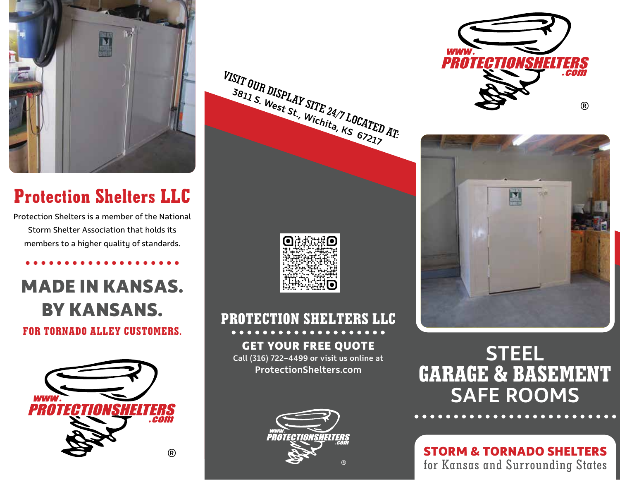

# **Protection Shelters LLC**

Protection Shelters is a member of the National Storm Shelter Association that holds its members to a higher quality of standards.

# **MADE IN KANSAS. BY KANSANS. FOR TORNADO ALLEY CUSTOMERS.**











# **GARAGE & BASEMENT** SAFE ROOMS STEEL

for Kansas and Surrounding States **STORM & TORNADO SHELTERS**